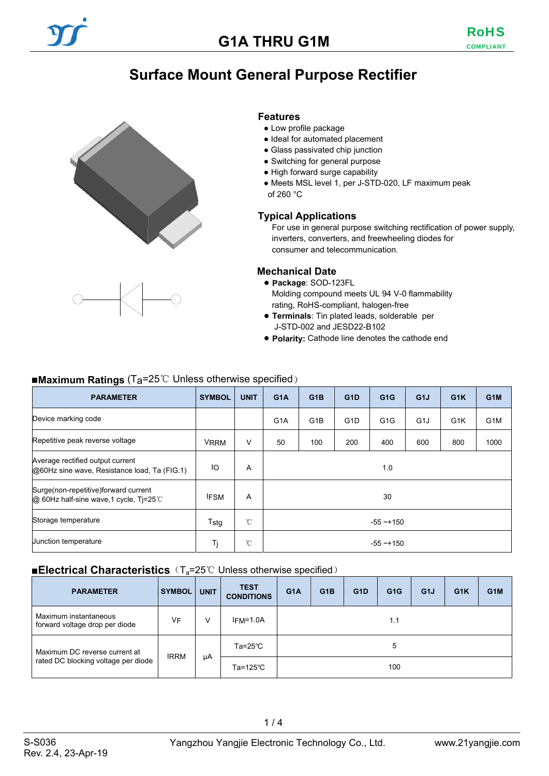## **Surface Mount General Purpose Rectifier**





#### **Features**

- Low profile package
- Ideal for automated placement
- Glass passivated chip junction
- Switching for general purpose
- High forward surge capability
- Meets MSL level 1, per J-STD-020, LF maximum peak of 260 °C

#### **Typical Applications**

For use in general purpose switching rectification of power supply, inverters, converters, and freewheeling diodes for consumer and telecommunication.

#### **Mechanical Date**

- **Package**: SOD-123FL Molding compound meets UL 94 V-0 flammability rating, RoHS-compliant, halogen-free
- **Terminals**: Tin plated leads, solderable per J-STD-002 and JESD22-B102
- **Polarity:** Cathode line denotes the cathode end

#### ■**Maximum Ratings** (T<sub>a</sub>=25℃ Unless otherwise specified)

| <b>PARAMETER</b>                                                                  | <b>SYMBOL</b> | <b>UNIT</b>  | G <sub>1</sub> A | G <sub>1</sub> B | G <sub>1</sub> D | G <sub>1</sub> G | G <sub>1</sub> J | G <sub>1</sub> K | G <sub>1</sub> M |
|-----------------------------------------------------------------------------------|---------------|--------------|------------------|------------------|------------------|------------------|------------------|------------------|------------------|
| Device marking code                                                               |               |              | G <sub>1</sub> A | G <sub>1</sub> B | G <sub>1</sub> D | G <sub>1</sub> G | G <sub>1</sub> J | G <sub>1</sub> K | G <sub>1</sub> M |
| Repetitive peak reverse voltage                                                   | <b>VRRM</b>   | V            | 50               | 100              | 200              | 400              | 600              | 800              | 1000             |
| Average rectified output current<br>@60Hz sine wave, Resistance load, Ta (FIG.1)  | IO            | A            | 1.0              |                  |                  |                  |                  |                  |                  |
| Surge (non-repetitive) forward current<br>@ 60Hz half-sine wave, 1 cycle, Tj=25°C | <b>IFSM</b>   | A            | 30               |                  |                  |                  |                  |                  |                  |
| Storage temperature                                                               | Tstg          | $^{\circ}$ C | $-55 - +150$     |                  |                  |                  |                  |                  |                  |
| Junction temperature                                                              | Tj            | $^{\circ}$ C | $-55 - +150$     |                  |                  |                  |                  |                  |                  |

#### ■**Electrical Characteristics** (T<sub>a</sub>=25℃ Unless otherwise specified)

| <b>PARAMETER</b>                                        | <b>SYMBOL</b> | <b>UNIT</b> | <b>TEST</b><br><b>CONDITIONS</b> | G <sub>1</sub> A | G <sub>1</sub> B | G <sub>1</sub> D | G <sub>1</sub> G | G <sub>1</sub> J | G <sub>1</sub> K | G <sub>1</sub> M |
|---------------------------------------------------------|---------------|-------------|----------------------------------|------------------|------------------|------------------|------------------|------------------|------------------|------------------|
| Maximum instantaneous<br>forward voltage drop per diode | VF            | V           | $IFM=1.0A$                       |                  |                  |                  | 1.1              |                  |                  |                  |
| Maximum DC reverse current at                           | <b>IRRM</b>   |             | $Ta = 25^{\circ}C$               |                  |                  |                  | 5                |                  |                  |                  |
| rated DC blocking voltage per diode                     |               |             | μA<br>Ta=125°C                   |                  | 100              |                  |                  |                  |                  |                  |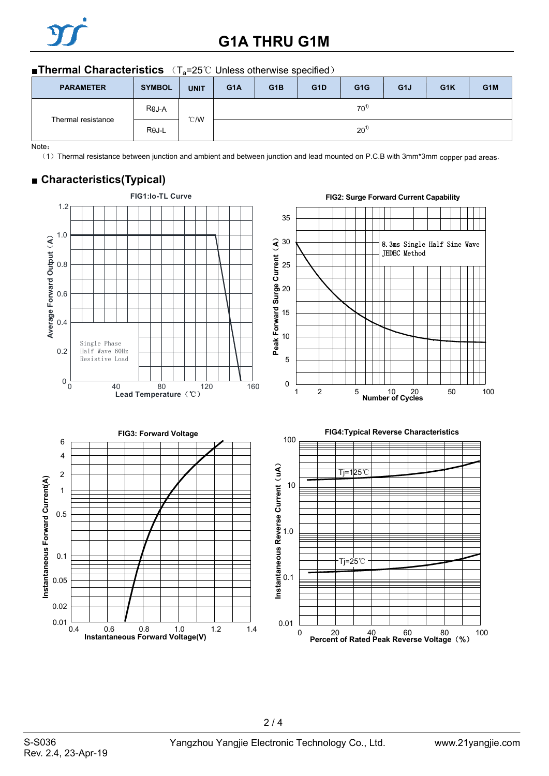

# **G1A THRU G1M**

#### ■**Thermal Characteristics** (T<sub>a</sub>=25℃ Unless otherwise specified)

| <b>PARAMETER</b>   | <b>SYMBOL</b> | <b>UNIT</b>   | G <sub>1</sub> A | G <sub>1</sub> B | G <sub>1</sub> D | G <sub>1</sub> G | G <sub>1</sub> J | G <sub>1</sub> K | G <sub>1</sub> M |
|--------------------|---------------|---------------|------------------|------------------|------------------|------------------|------------------|------------------|------------------|
| Thermal resistance | $R\theta J-A$ | $\degree$ C/W |                  |                  |                  | $70^{1}$         |                  |                  |                  |
|                    | $R\theta$ J-L |               | $20^{1}$         |                  |                  |                  |                  |                  |                  |

Note:

(1) Thermal resistance between junction and ambient and between junction and lead mounted on P.C.B with 3mm\*3mm copper pad areas.

### ■ **Characteristics(Typical)**



 $2/4$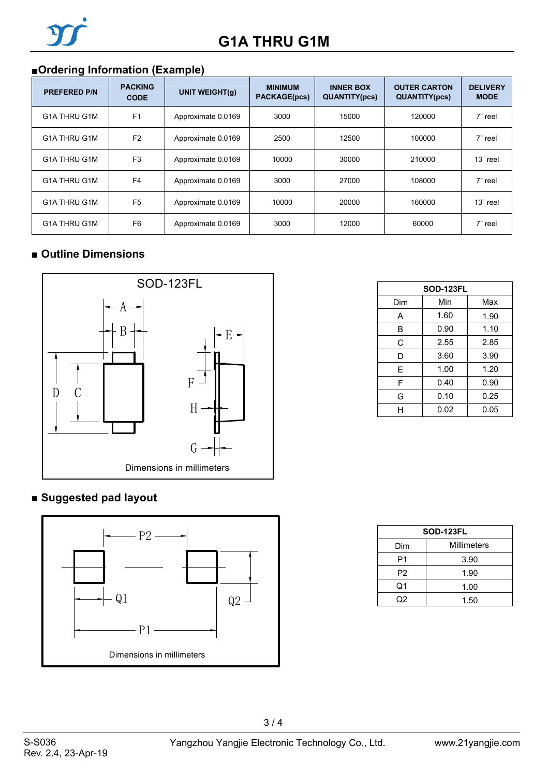

## ■**Ordering Information (Example)**

| <b>PREFERED P/N</b> | <b>PACKING</b><br><b>CODE</b> | <b>UNIT WEIGHT(g)</b> | <b>MINIMUM</b><br><b>PACKAGE(pcs)</b> | <b>INNER BOX</b><br><b>QUANTITY(pcs)</b> | <b>OUTER CARTON</b><br><b>QUANTITY(pcs)</b> | <b>DELIVERY</b><br><b>MODE</b> |
|---------------------|-------------------------------|-----------------------|---------------------------------------|------------------------------------------|---------------------------------------------|--------------------------------|
| G1A THRU G1M        | F <sub>1</sub>                | Approximate 0.0169    | 3000                                  | 15000                                    | 120000                                      | 7" reel                        |
| G1A THRU G1M        | F <sub>2</sub>                | Approximate 0.0169    | 2500                                  | 12500                                    | 100000                                      | 7" reel                        |
| G1A THRU G1M        | F <sub>3</sub>                | Approximate 0.0169    | 10000                                 | 30000                                    | 210000                                      | 13" reel                       |
| G1A THRU G1M        | F <sub>4</sub>                | Approximate 0.0169    | 3000                                  | 27000                                    | 108000                                      | 7" reel                        |
| G1A THRU G1M        | F <sub>5</sub>                | Approximate 0.0169    | 10000                                 | 20000                                    | 160000                                      | 13" reel                       |
| G1A THRU G1M        | F <sub>6</sub>                | Approximate 0.0169    | 3000                                  | 12000                                    | 60000                                       | 7" reel                        |

### ■ **Outline Dimensions**



### **■ Suggested pad layout**



| <b>SOD-123FL</b> |      |      |  |  |  |
|------------------|------|------|--|--|--|
| Dim              | Min  | Max  |  |  |  |
| А                | 1.60 | 1.90 |  |  |  |
| B                | 0.90 | 1.10 |  |  |  |
| С                | 2.55 | 2.85 |  |  |  |
| D                | 3.60 | 3.90 |  |  |  |
| E                | 1.00 | 1.20 |  |  |  |
| F                | 0.40 | 0.90 |  |  |  |
| G                | 0.10 | 0.25 |  |  |  |
|                  | 0.02 | 0.05 |  |  |  |

| <b>SOD-123FL</b> |             |  |  |  |
|------------------|-------------|--|--|--|
| Dim              | Millimeters |  |  |  |
| P1               | 3.90        |  |  |  |
| P <sub>2</sub>   | 1.90        |  |  |  |
| Q1               | 1.00        |  |  |  |
| በ2               | 1.50        |  |  |  |